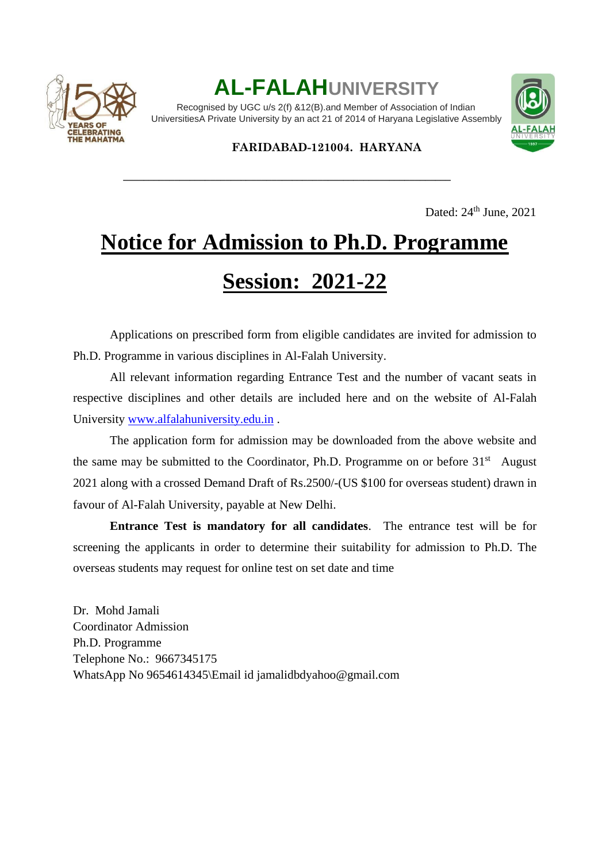

**AL-FALAHUNIVERSITY**

Recognised by UGC u/s 2(f) &12(B).and Member of Association of Indian UniversitiesA Private University by an act 21 of 2014 of Haryana Legislative Assembly



**FARIDABAD-121004. HARYANA** 

Dated: 24<sup>th</sup> June, 2021

# **Notice for Admission to Ph.D. Programme Session: 2021-22**

**\_\_\_\_\_\_\_\_\_\_\_\_\_\_\_\_\_\_\_\_\_\_\_\_\_\_\_\_\_\_\_\_\_\_\_\_\_\_\_\_\_\_\_\_\_\_\_\_\_\_\_\_\_\_\_\_\_\_\_\_\_\_\_\_** 

Applications on prescribed form from eligible candidates are invited for admission to Ph.D. Programme in various disciplines in Al-Falah University.

All relevant information regarding Entrance Test and the number of vacant seats in respective disciplines and other details are included here and on the website of Al-Falah University [www.alfalahuniversity.edu.in](http://www.alfalahuniversity.edu.in/) .

The application form for admission may be downloaded from the above website and the same may be submitted to the Coordinator, Ph.D. Programme on or before  $31<sup>st</sup>$  August 2021 along with a crossed Demand Draft of Rs.2500/-(US \$100 for overseas student) drawn in favour of Al-Falah University, payable at New Delhi.

**Entrance Test is mandatory for all candidates**. The entrance test will be for screening the applicants in order to determine their suitability for admission to Ph.D. The overseas students may request for online test on set date and time

Dr. Mohd Jamali Coordinator Admission Ph.D. Programme Telephone No.: 9667345175 WhatsApp No 9654614345\Email id jamalidbdyahoo@gmail.com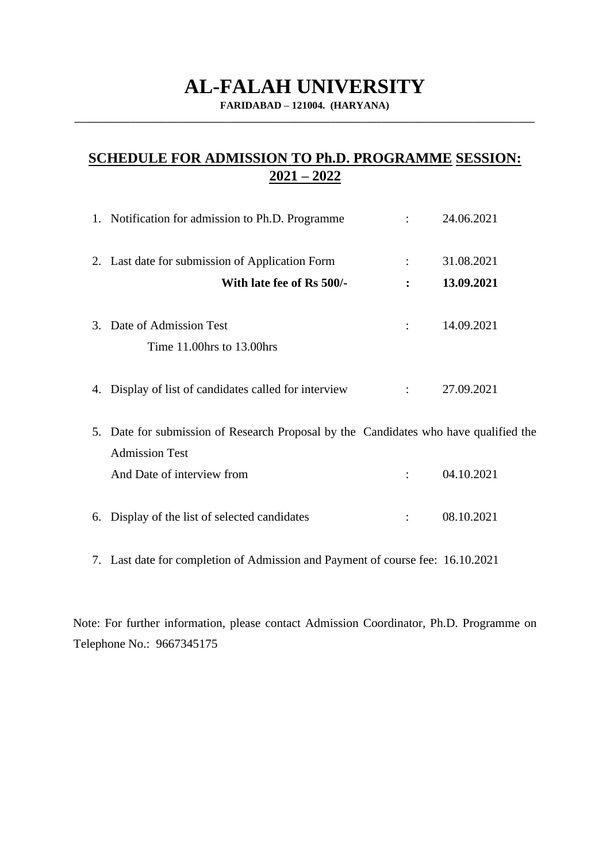## **AL-FALAH UNIVERSITY**

**FARIDABAD – 121004. (HARYANA) \_\_\_\_\_\_\_\_\_\_\_\_\_\_\_\_\_\_\_\_\_\_\_\_\_\_\_\_\_\_\_\_\_\_\_\_\_\_\_\_\_\_\_\_\_\_\_\_\_\_\_\_\_\_\_\_\_\_\_\_\_\_\_\_\_\_\_\_\_\_\_\_\_\_\_\_\_\_\_\_\_\_\_\_\_\_\_\_\_\_** 

## **SCHEDULE FOR ADMISSION TO Ph.D. PROGRAMME SESSION: 2021 – 2022**

| 1. Notification for admission to Ph.D. Programme                                                              |                | 24.06.2021 |
|---------------------------------------------------------------------------------------------------------------|----------------|------------|
| 2. Last date for submission of Application Form                                                               |                | 31.08.2021 |
| With late fee of Rs 500/-                                                                                     | $\ddot{\cdot}$ | 13.09.2021 |
| 3. Date of Admission Test<br>Time 11.00hrs to 13.00hrs                                                        |                | 14.09.2021 |
| 4. Display of list of candidates called for interview                                                         |                | 27.09.2021 |
| 5. Date for submission of Research Proposal by the Candidates who have qualified the<br><b>Admission Test</b> |                |            |
| And Date of interview from                                                                                    |                | 04.10.2021 |
| 6. Display of the list of selected candidates                                                                 |                | 08.10.2021 |

7. Last date for completion of Admission and Payment of course fee: 16.10.2021

Note: For further information, please contact Admission Coordinator, Ph.D. Programme on Telephone No.: 9667345175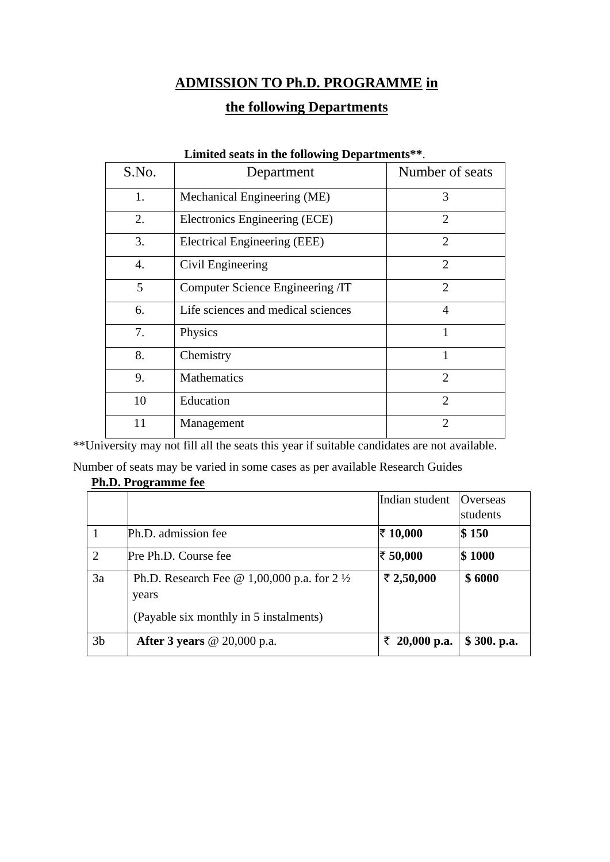## **ADMISSION TO Ph.D. PROGRAMME in**

### **the following Departments**

| S.No. | Department                         | Number of seats             |
|-------|------------------------------------|-----------------------------|
| 1.    | Mechanical Engineering (ME)        | 3                           |
| 2.    | Electronics Engineering (ECE)      | $\overline{2}$              |
| 3.    | Electrical Engineering (EEE)       | $\overline{2}$              |
| 4.    | Civil Engineering                  | $\mathcal{D}_{\mathcal{L}}$ |
| 5     | Computer Science Engineering /IT   | $\overline{2}$              |
| 6.    | Life sciences and medical sciences | 4                           |
| 7.    | Physics                            |                             |
| 8.    | Chemistry                          |                             |
| 9.    | Mathematics                        | $\overline{2}$              |
| 10    | Education                          | 2                           |
| 11    | Management                         | $\mathcal{D}_{\mathcal{A}}$ |

#### **Limited seats in the following Departments\*\***.

\*\*University may not fill all the seats this year if suitable candidates are not available.

Number of seats may be varied in some cases as per available Research Guides

#### **Ph.D. Programme fee**

|                |                                                               | Indian student   | <b>Overseas</b> |
|----------------|---------------------------------------------------------------|------------------|-----------------|
|                |                                                               |                  | students        |
|                | Ph.D. admission fee                                           | ₹ 10,000         | \$150           |
| 2              | Pre Ph.D. Course fee                                          | ₹ 50,000         | \$1000          |
| 3a             | Ph.D. Research Fee $\omega$ 1,00,000 p.a. for 2 $\frac{1}{2}$ | ₹ 2,50,000       | \$6000          |
|                | years                                                         |                  |                 |
|                | (Payable six monthly in 5 instalments)                        |                  |                 |
| 3 <sub>b</sub> | After 3 years $@ 20,000$ p.a.                                 | 20,000 p.a.<br>₹ | \$300. p.a.     |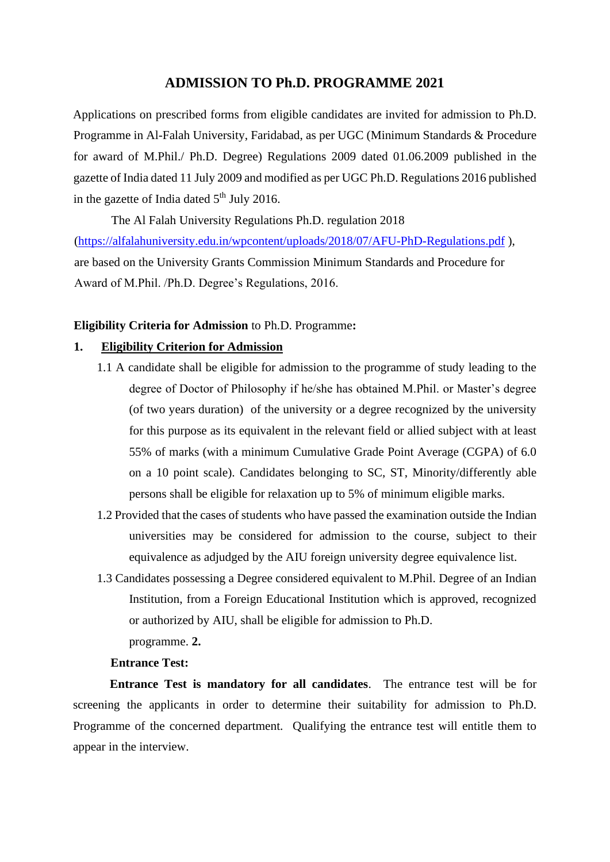#### **ADMISSION TO Ph.D. PROGRAMME 2021**

Applications on prescribed forms from eligible candidates are invited for admission to Ph.D. Programme in Al-Falah University, Faridabad, as per UGC (Minimum Standards & Procedure for award of M.Phil./ Ph.D. Degree) Regulations 2009 dated 01.06.2009 published in the gazette of India dated 11 July 2009 and modified as per UGC Ph.D. Regulations 2016 published in the gazette of India dated  $5<sup>th</sup>$  July 2016.

The Al Falah University Regulations Ph.D. regulation 2018 [\(https://alfalahuniversity.edu.in/wpcontent/uploads/2018/07/AFU-PhD-Regulations.pdf](https://alfalahuniversity.edu.in/wp-content/uploads/2018/07/AFU-PhD-Regulations.pdf) [\)](https://alfalahuniversity.edu.in/wp-content/uploads/2018/07/AFU-PhD-Regulations.pdf), are based on the University Grants Commission Minimum Standards and Procedure for Award of M.Phil. /Ph.D. Degree's Regulations, 2016.

#### **Eligibility Criteria for Admission** to Ph.D. Programme**:**

#### **1. Eligibility Criterion for Admission**

- 1.1 A candidate shall be eligible for admission to the programme of study leading to the degree of Doctor of Philosophy if he/she has obtained M.Phil. or Master's degree (of two years duration) of the university or a degree recognized by the university for this purpose as its equivalent in the relevant field or allied subject with at least 55% of marks (with a minimum Cumulative Grade Point Average (CGPA) of 6.0 on a 10 point scale). Candidates belonging to SC, ST, Minority/differently able persons shall be eligible for relaxation up to 5% of minimum eligible marks.
- 1.2 Provided that the cases of students who have passed the examination outside the Indian universities may be considered for admission to the course, subject to their equivalence as adjudged by the AIU foreign university degree equivalence list.
- 1.3 Candidates possessing a Degree considered equivalent to M.Phil. Degree of an Indian Institution, from a Foreign Educational Institution which is approved, recognized or authorized by AIU, shall be eligible for admission to Ph.D. programme. **2.**

#### **Entrance Test:**

**Entrance Test is mandatory for all candidates**. The entrance test will be for screening the applicants in order to determine their suitability for admission to Ph.D. Programme of the concerned department. Qualifying the entrance test will entitle them to appear in the interview.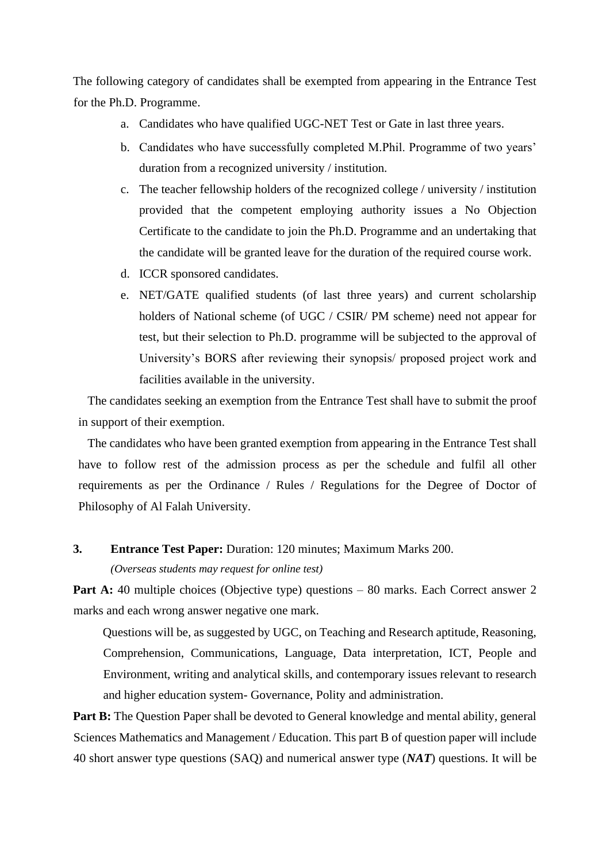The following category of candidates shall be exempted from appearing in the Entrance Test for the Ph.D. Programme.

- a. Candidates who have qualified UGC-NET Test or Gate in last three years.
- b. Candidates who have successfully completed M.Phil. Programme of two years' duration from a recognized university / institution.
- c. The teacher fellowship holders of the recognized college / university / institution provided that the competent employing authority issues a No Objection Certificate to the candidate to join the Ph.D. Programme and an undertaking that the candidate will be granted leave for the duration of the required course work.
- d. ICCR sponsored candidates.
- e. NET/GATE qualified students (of last three years) and current scholarship holders of National scheme (of UGC / CSIR/ PM scheme) need not appear for test, but their selection to Ph.D. programme will be subjected to the approval of University's BORS after reviewing their synopsis/ proposed project work and facilities available in the university.

The candidates seeking an exemption from the Entrance Test shall have to submit the proof in support of their exemption.

The candidates who have been granted exemption from appearing in the Entrance Test shall have to follow rest of the admission process as per the schedule and fulfil all other requirements as per the Ordinance / Rules / Regulations for the Degree of Doctor of Philosophy of Al Falah University.

#### **3. Entrance Test Paper:** Duration: 120 minutes; Maximum Marks 200.

#### *(Overseas students may request for online test)*

Part A: 40 multiple choices (Objective type) questions – 80 marks. Each Correct answer 2 marks and each wrong answer negative one mark.

Questions will be, as suggested by UGC, on Teaching and Research aptitude, Reasoning, Comprehension, Communications, Language, Data interpretation, ICT, People and Environment, writing and analytical skills, and contemporary issues relevant to research and higher education system- Governance, Polity and administration.

Part B: The Question Paper shall be devoted to General knowledge and mental ability, general Sciences Mathematics and Management / Education. This part B of question paper will include 40 short answer type questions (SAQ) and numerical answer type (*NAT*) questions. It will be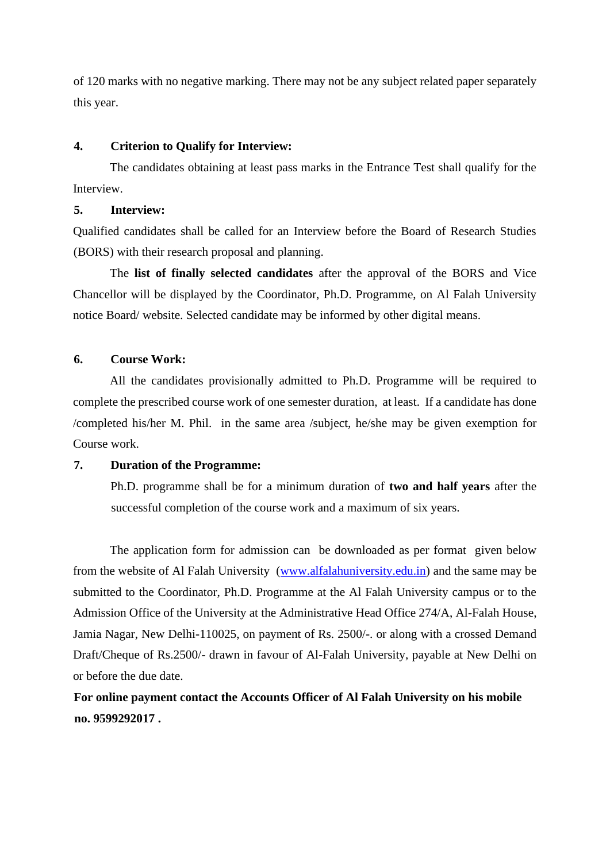of 120 marks with no negative marking. There may not be any subject related paper separately this year.

#### **4. Criterion to Qualify for Interview:**

The candidates obtaining at least pass marks in the Entrance Test shall qualify for the **Interview.** 

#### **5. Interview:**

Qualified candidates shall be called for an Interview before the Board of Research Studies (BORS) with their research proposal and planning.

The **list of finally selected candidates** after the approval of the BORS and Vice Chancellor will be displayed by the Coordinator, Ph.D. Programme, on Al Falah University notice Board/ website. Selected candidate may be informed by other digital means.

#### **6. Course Work:**

All the candidates provisionally admitted to Ph.D. Programme will be required to complete the prescribed course work of one semester duration, at least. If a candidate has done /completed his/her M. Phil. in the same area /subject, he/she may be given exemption for Course work.

#### **7. Duration of the Programme:**

Ph.D. programme shall be for a minimum duration of **two and half years** after the successful completion of the course work and a maximum of six years.

The application form for admission can be downloaded as per format given below from the website of Al Falah University [\(www.alfalahuniversity.edu.in\)](http://www.alfalahuniversity.edu.in/) and the same may be submitted to the Coordinator, Ph.D. Programme at the Al Falah University campus or to the Admission Office of the University at the Administrative Head Office 274/A, Al-Falah House, Jamia Nagar, New Delhi-110025, on payment of Rs. 2500/-. or along with a crossed Demand Draft/Cheque of Rs.2500/- drawn in favour of Al-Falah University, payable at New Delhi on or before the due date.

## **For online payment contact the Accounts Officer of Al Falah University on his mobile no. 9599292017 .**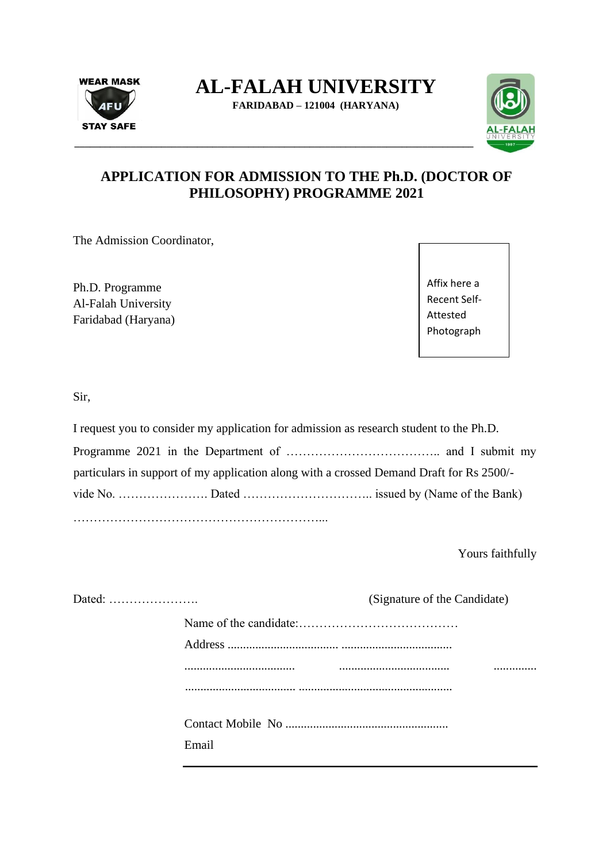

**AL-FALAH UNIVERSITY**

**FARIDABAD – 121004 (HARYANA)** 



## **APPLICATION FOR ADMISSION TO THE Ph.D. (DOCTOR OF PHILOSOPHY) PROGRAMME 2021**

**\_\_\_\_\_\_\_\_\_\_\_\_\_\_\_\_\_\_\_\_\_\_\_\_\_\_\_\_\_\_\_\_\_\_\_\_\_\_\_\_\_\_\_\_\_\_\_\_\_\_\_\_\_\_\_\_\_\_\_\_\_\_\_\_\_\_\_\_\_\_\_\_\_\_\_\_\_\_** 

The Admission Coordinator,

Ph.D. Programme Al-Falah University Faridabad (Haryana) Affix here a Recent Self-Attested Photograph

Sir,

| I request you to consider my application for admission as research student to the Ph.D.  |
|------------------------------------------------------------------------------------------|
|                                                                                          |
| particulars in support of my application along with a crossed Demand Draft for Rs 2500/- |
|                                                                                          |
|                                                                                          |

Yours faithfully

| Dated: $\dots\dots\dots\dots\dots\dots\dots$ | (Signature of the Candidate) |
|----------------------------------------------|------------------------------|
|                                              |                              |
|                                              |                              |
|                                              | <br><br>                     |
|                                              |                              |
|                                              |                              |
|                                              | Email                        |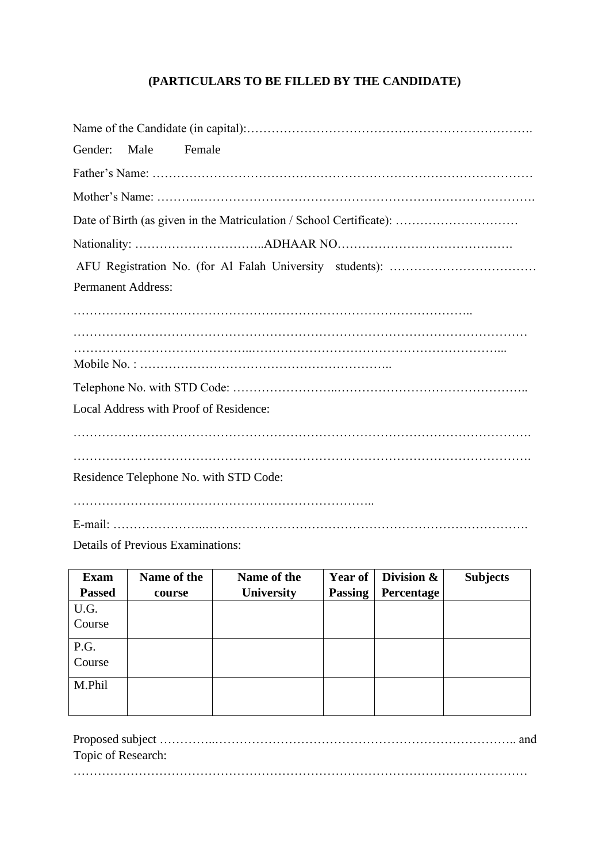## **(PARTICULARS TO BE FILLED BY THE CANDIDATE)**

| Gender:                   | Male | Female                                 |                                                                     |
|---------------------------|------|----------------------------------------|---------------------------------------------------------------------|
|                           |      |                                        |                                                                     |
|                           |      |                                        |                                                                     |
|                           |      |                                        | Date of Birth (as given in the Matriculation / School Certificate): |
|                           |      |                                        |                                                                     |
|                           |      |                                        |                                                                     |
| <b>Permanent Address:</b> |      |                                        |                                                                     |
|                           |      |                                        |                                                                     |
|                           |      |                                        |                                                                     |
|                           |      |                                        |                                                                     |
|                           |      |                                        |                                                                     |
|                           |      | Local Address with Proof of Residence: |                                                                     |
|                           |      |                                        |                                                                     |
|                           |      |                                        |                                                                     |
|                           |      | Residence Telephone No. with STD Code: |                                                                     |
|                           |      |                                        |                                                                     |
|                           |      |                                        |                                                                     |

Details of Previous Examinations:

| <b>Exam</b>   | Name of the | Name of the       | <b>Year of</b> | Division &        | <b>Subjects</b> |
|---------------|-------------|-------------------|----------------|-------------------|-----------------|
| <b>Passed</b> | course      | <b>University</b> | <b>Passing</b> | <b>Percentage</b> |                 |
| U.G.          |             |                   |                |                   |                 |
| Course        |             |                   |                |                   |                 |
| P.G.          |             |                   |                |                   |                 |
| Course        |             |                   |                |                   |                 |
| M.Phil        |             |                   |                |                   |                 |
|               |             |                   |                |                   |                 |

| Topic of Research: |  |
|--------------------|--|
|                    |  |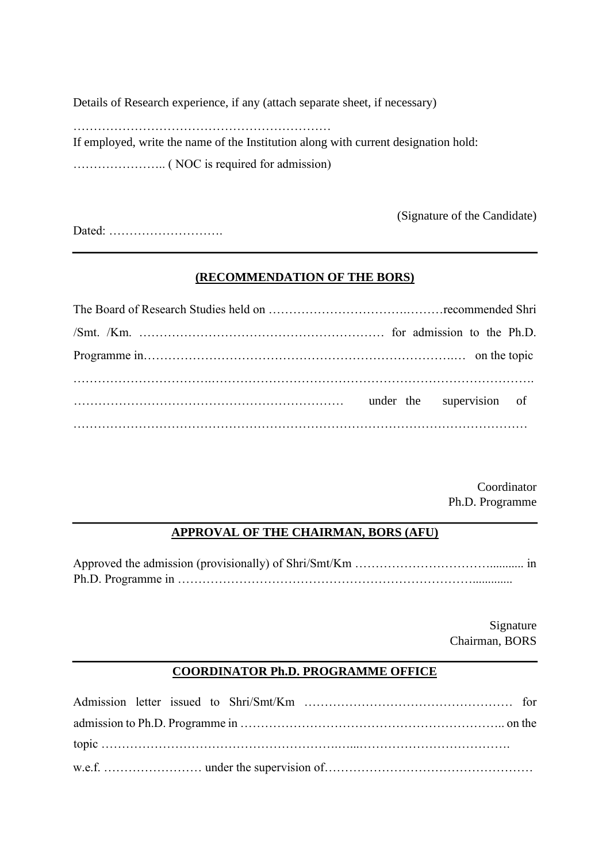Details of Research experience, if any (attach separate sheet, if necessary)

………………………………………………………

If employed, write the name of the Institution along with current designation hold:

………………….. ( NOC is required for admission)

(Signature of the Candidate)

Dated: ……………………….

#### **(RECOMMENDATION OF THE BORS)**

Coordinator Ph.D. Programme

#### **APPROVAL OF THE CHAIRMAN, BORS (AFU)**

Approved the admission (provisionally) of Shri/Smt/Km ……………………………........... in Ph.D. Programme in ……………………………………………………………….............

> Signature Chairman, BORS

#### **COORDINATOR Ph.D. PROGRAMME OFFICE**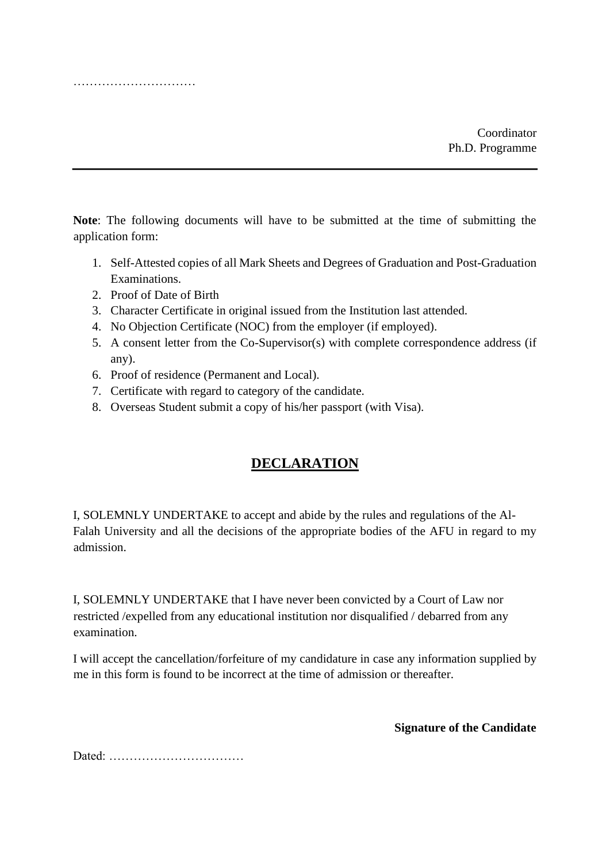**Note**: The following documents will have to be submitted at the time of submitting the application form:

- 1. Self-Attested copies of all Mark Sheets and Degrees of Graduation and Post-Graduation Examinations.
- 2. Proof of Date of Birth

………………………………

- 3. Character Certificate in original issued from the Institution last attended.
- 4. No Objection Certificate (NOC) from the employer (if employed).
- 5. A consent letter from the Co-Supervisor(s) with complete correspondence address (if any).
- 6. Proof of residence (Permanent and Local).
- 7. Certificate with regard to category of the candidate.
- 8. Overseas Student submit a copy of his/her passport (with Visa).

## **DECLARATION**

I, SOLEMNLY UNDERTAKE to accept and abide by the rules and regulations of the Al-Falah University and all the decisions of the appropriate bodies of the AFU in regard to my admission.

I, SOLEMNLY UNDERTAKE that I have never been convicted by a Court of Law nor restricted /expelled from any educational institution nor disqualified / debarred from any examination.

I will accept the cancellation/forfeiture of my candidature in case any information supplied by me in this form is found to be incorrect at the time of admission or thereafter.

**Signature of the Candidate** 

Dated: ……………………………